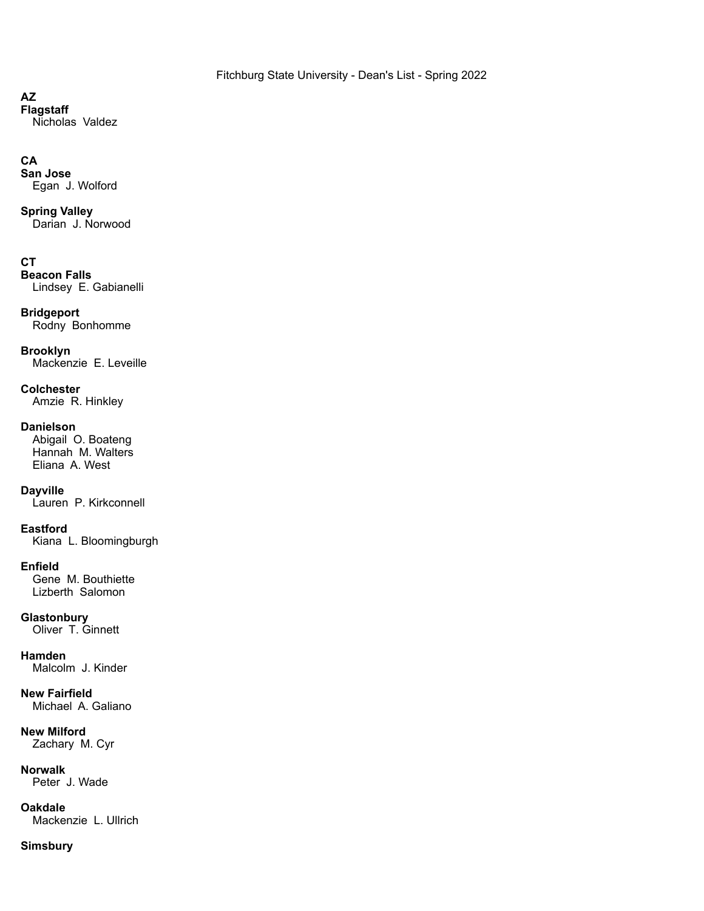## **AZ**

**Flagstaff** Nicholas Valdez

## **CA**

**San Jose** Egan J. Wolford

# **Spring Valley**

Darian J. Norwood

## **CT**

**Beacon Falls** Lindsey E. Gabianelli

## **Bridgeport**

Rodny Bonhomme

## **Brooklyn**

Mackenzie E. Leveille

## **Colchester**

Amzie R. Hinkley

## **Danielson**

Abigail O. Boateng Hannah M. Walters Eliana A. West

## **Dayville**

Lauren P. Kirkconnell

## **Eastford**

Kiana L. Bloomingburgh

## **Enfield**

Gene M. Bouthiette Lizberth Salomon

## **Glastonbury**

Oliver T. Ginnett

## **Hamden**

Malcolm J. Kinder

# **New Fairfield**

Michael A. Galiano

# **New Milford**

Zachary M. Cyr

## **Norwalk**

Peter J. Wade

## **Oakdale**

Mackenzie L. Ullrich

## **Simsbury**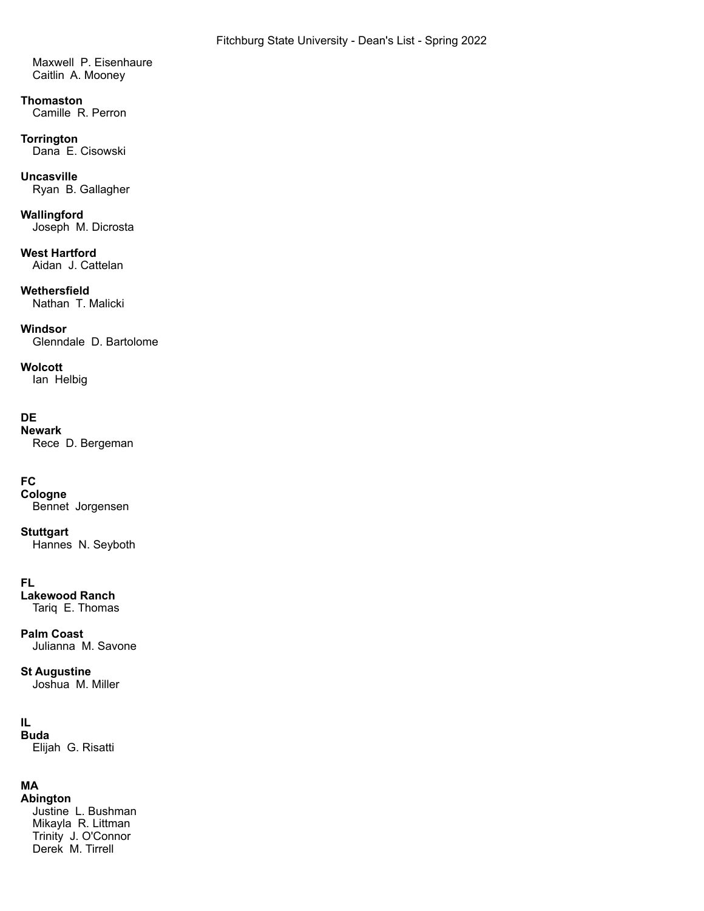Maxwell P. Eisenhaure Caitlin A. Mooney

#### **Thomaston** Camille R. Perron

**Torrington** Dana E. Cisowski

## **Uncasville**

Ryan B. Gallagher

# **Wallingford**

Joseph M. Dicrosta

## **West Hartford**

Aidan J. Cattelan

## **Wethersfield**

Nathan T. Malicki

## **Windsor**

Glenndale D. Bartolome

## **Wolcott**

Ian Helbig

## **DE**

**Newark** Rece D. Bergeman

## **FC**

**Cologne** Bennet Jorgensen

# **Stuttgart**

Hannes N. Seyboth

## **FL**

**Lakewood Ranch** Tariq E. Thomas

## **Palm Coast**

Julianna M. Savone

### **St Augustine** Joshua M. Miller

## **IL**

**Buda** Elijah G. Risatti

## **MA**

**Abington** Justine L. Bushman Mikayla R. Littman Trinity J. O'Connor Derek M. Tirrell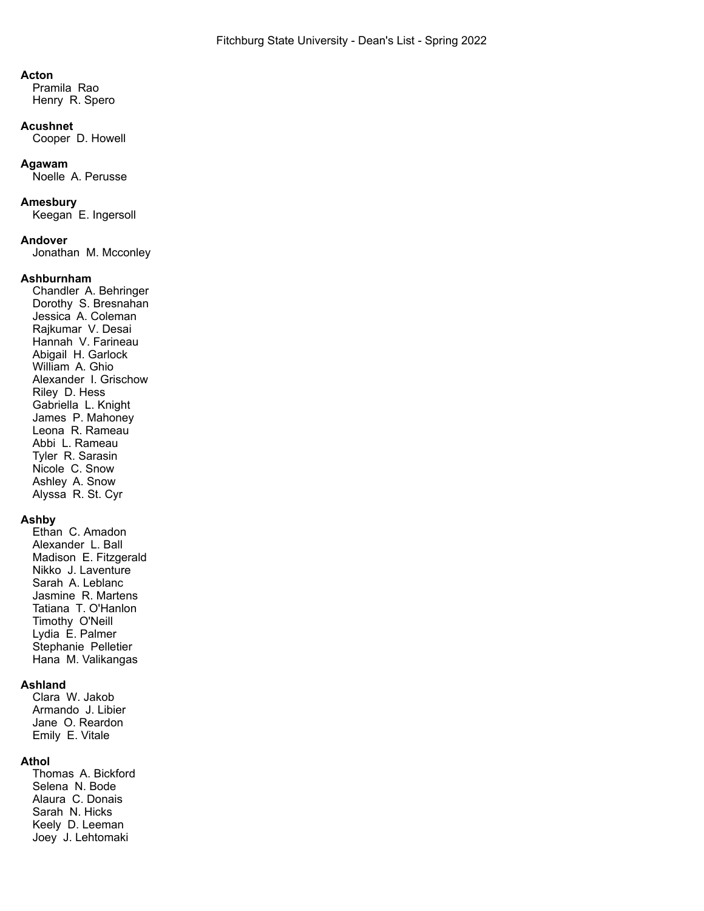#### **Acton**

Pramila Rao Henry R. Spero

#### **Acushnet**

Cooper D. Howell

#### **Agawam**

Noelle A. Perusse

### **Amesbury**

Keegan E. Ingersoll

### **Andover**

Jonathan M. Mcconley

## **Ashburnham**

Chandler A. Behringer Dorothy S. Bresnahan Jessica A. Coleman Rajkumar V. Desai Hannah V. Farineau Abigail H. Garlock William A. Ghio Alexander I. Grischow Riley D. Hess Gabriella L. Knight James P. Mahoney Leona R. Rameau Abbi L. Rameau Tyler R. Sarasin Nicole C. Snow Ashley A. Snow Alyssa R. St. Cyr

## **Ashby**

Ethan C. Amadon Alexander L. Ball Madison E. Fitzgerald Nikko J. Laventure Sarah A. Leblanc Jasmine R. Martens Tatiana T. O'Hanlon Timothy O'Neill Lydia E. Palmer Stephanie Pelletier Hana M. Valikangas

## **Ashland**

Clara W. Jakob Armando J. Libier Jane O. Reardon Emily E. Vitale

## **Athol**

Thomas A. Bickford Selena N. Bode Alaura C. Donais Sarah N. Hicks Keely D. Leeman Joey J. Lehtomaki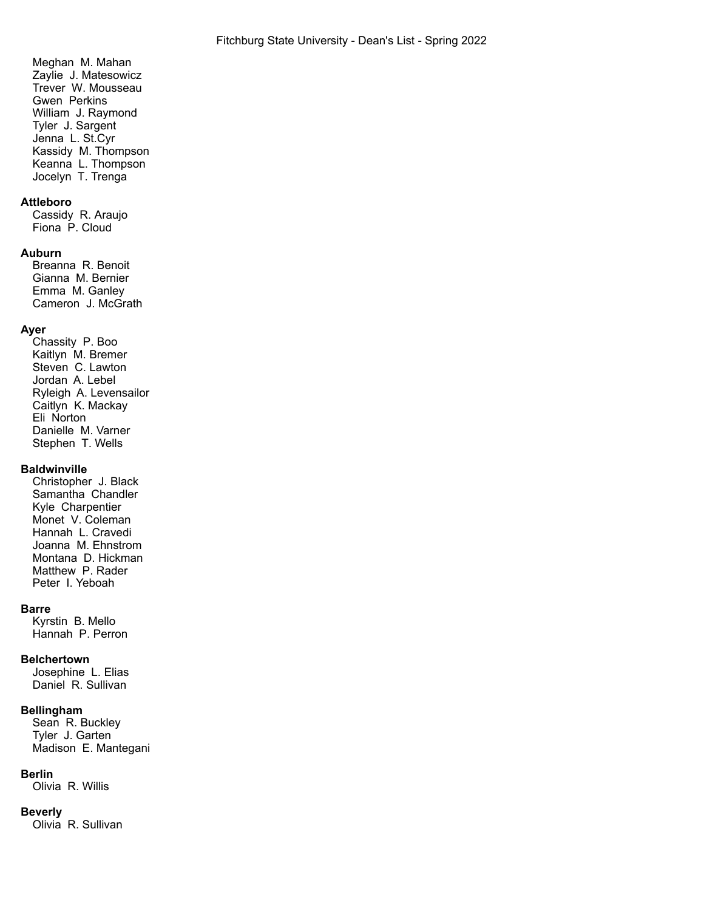Meghan M. Mahan Zaylie J. Matesowicz Trever W. Mousseau Gwen Perkins William J. Raymond Tyler J. Sargent Jenna L. St.Cyr Kassidy M. Thompson Keanna L. Thompson Jocelyn T. Trenga

## **Attleboro**

Cassidy R. Araujo Fiona P. Cloud

## **Auburn**

Breanna R. Benoit Gianna M. Bernier Emma M. Ganley Cameron J. McGrath

## **Ayer**

Chassity P. Boo Kaitlyn M. Bremer Steven C. Lawton Jordan A. Lebel Ryleigh A. Levensailor Caitlyn K. Mackay Eli Norton Danielle M. Varner Stephen T. Wells

## **Baldwinville**

Christopher J. Black Samantha Chandler Kyle Charpentier Monet V. Coleman Hannah L. Cravedi Joanna M. Ehnstrom Montana D. Hickman Matthew P. Rader Peter I. Yeboah

## **Barre**

Kyrstin B. Mello Hannah P. Perron

## **Belchertown**

Josephine L. Elias Daniel R. Sullivan

### **Bellingham**

Sean R. Buckley Tyler J. Garten Madison E. Mantegani

### **Berlin**

Olivia R. Willis

### **Beverly**

Olivia R. Sullivan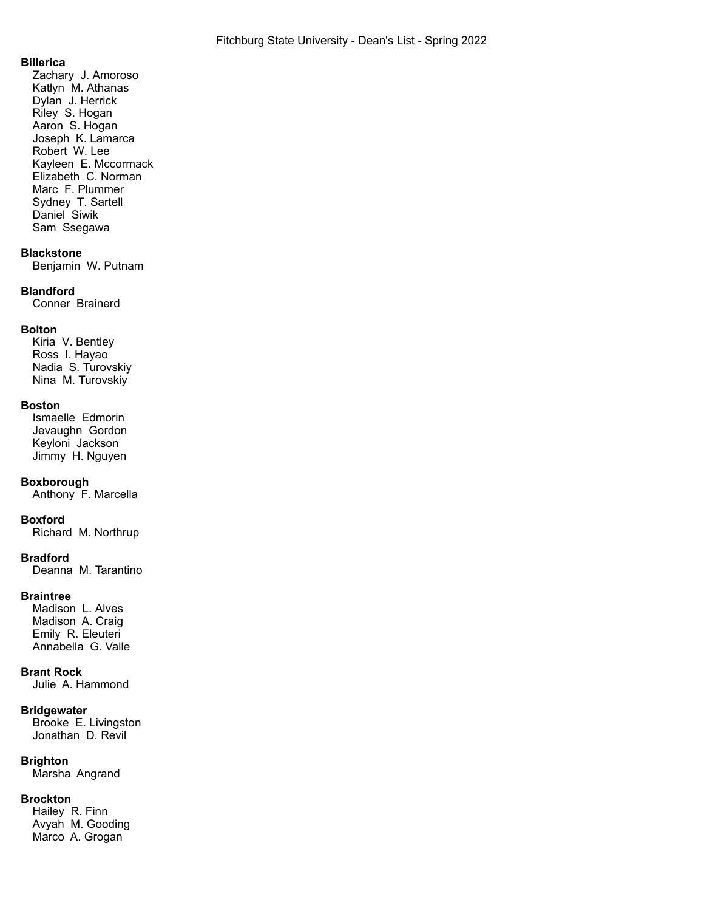## **Billerica**

Zachary J. Amoroso Katlyn M. Athanas Dylan J. Herrick Riley S. Hogan Aaron S. Hogan Joseph K. Lamarca Robert W. Lee Kayleen E. Mccormack Elizabeth C. Norman Marc F. Plummer Sydney T. Sartell Daniel Siwik Sam Ssegawa

## **Blackstone**

Benjamin W. Putnam

### **Blandford**

Conner Brainerd

## **Bolton**

Kiria V. Bentley Ross I. Hayao Nadia S. Turovskiy Nina M. Turovskiy

### **Boston**

Ismaelle Edmorin Jevaughn Gordon Keyloni Jackson Jimmy H. Nguyen

### **Boxborough**

Anthony F. Marcella

### **Boxford**

Richard M. Northrup

### **Bradford**

Deanna M. Tarantino

### **Braintree**

Madison L. Alves Madison A. Craig Emily R. Eleuteri Annabella G. Valle

## **Brant Rock**

Julie A. Hammond

### **Bridgewater**

Brooke E. Livingston Jonathan D. Revil

## **Brighton**

Marsha Angrand

## **Brockton**

Hailey R. Finn Avyah M. Gooding Marco A. Grogan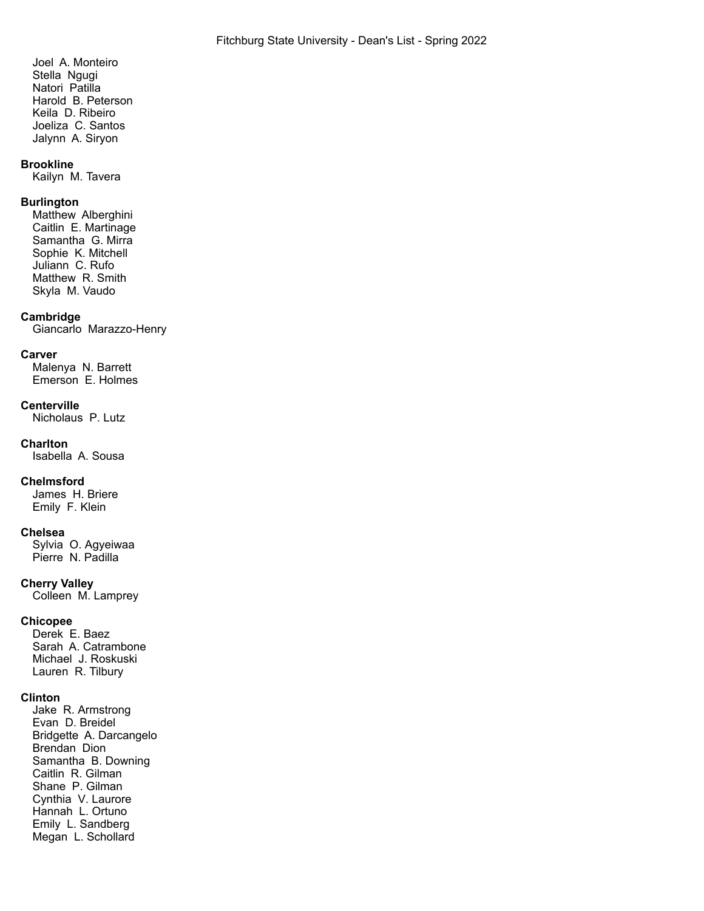Joel A. Monteiro Stella Ngugi Natori Patilla Harold B. Peterson Keila D. Ribeiro Joeliza C. Santos Jalynn A. Siryon

### **Brookline**

Kailyn M. Tavera

## **Burlington**

Matthew Alberghini Caitlin E. Martinage Samantha G. Mirra Sophie K. Mitchell Juliann C. Rufo Matthew R. Smith Skyla M. Vaudo

### **Cambridge**

Giancarlo Marazzo-Henry

### **Carver**

Malenya N. Barrett Emerson E. Holmes

#### **Centerville**

Nicholaus P. Lutz

#### **Charlton**

Isabella A. Sousa

#### **Chelmsford**

James H. Briere Emily F. Klein

#### **Chelsea**

Sylvia O. Agyeiwaa Pierre N. Padilla

### **Cherry Valley**

Colleen M. Lamprey

### **Chicopee**

Derek E. Baez Sarah A. Catrambone Michael J. Roskuski Lauren R. Tilbury

#### **Clinton**

Jake R. Armstrong Evan D. Breidel Bridgette A. Darcangelo Brendan Dion Samantha B. Downing Caitlin R. Gilman Shane P. Gilman Cynthia V. Laurore Hannah L. Ortuno Emily L. Sandberg Megan L. Schollard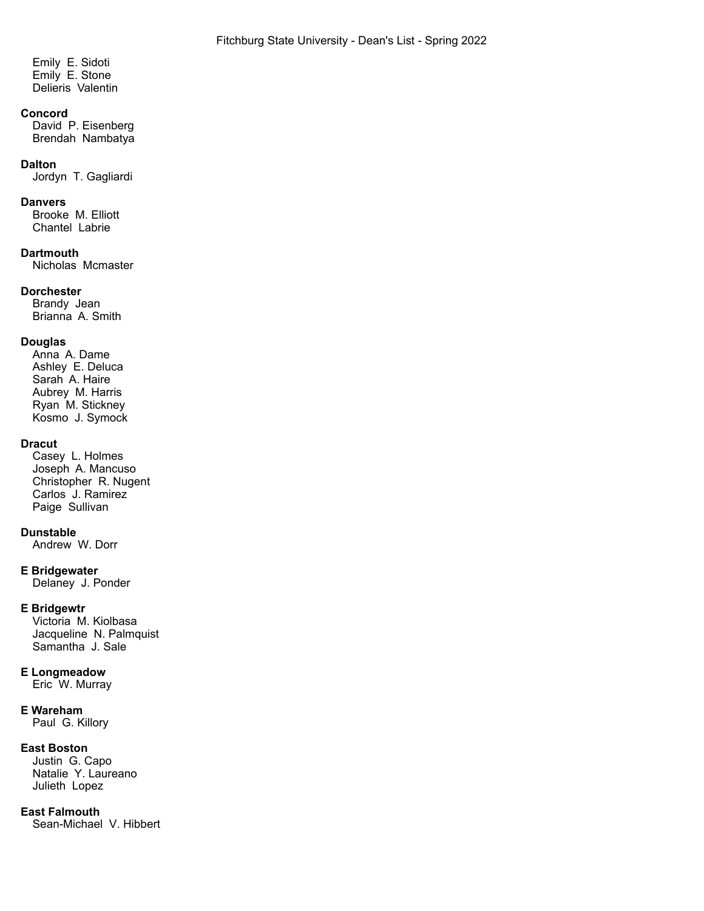Emily E. Sidoti Emily E. Stone Delieris Valentin

## **Concord**

David P. Eisenberg Brendah Nambatya

#### **Dalton**

Jordyn T. Gagliardi

#### **Danvers**

Brooke M. Elliott Chantel Labrie

## **Dartmouth**

Nicholas Mcmaster

### **Dorchester**

Brandy Jean Brianna A. Smith

### **Douglas**

Anna A. Dame Ashley E. Deluca Sarah A. Haire Aubrey M. Harris Ryan M. Stickney Kosmo J. Symock

### **Dracut**

Casey L. Holmes Joseph A. Mancuso Christopher R. Nugent Carlos<sup>'</sup>J. Ramirez Paige Sullivan

### **Dunstable**

Andrew W. Dorr

## **E Bridgewater**

Delaney J. Ponder

## **E Bridgewtr**

Victoria M. Kiolbasa Jacqueline N. Palmquist Samantha J. Sale

## **E Longmeadow**

Eric W. Murray

## **E Wareham**

Paul G. Killory

## **East Boston**

Justin G. Capo Natalie Y. Laureano Julieth Lopez

## **East Falmouth**

Sean-Michael V. Hibbert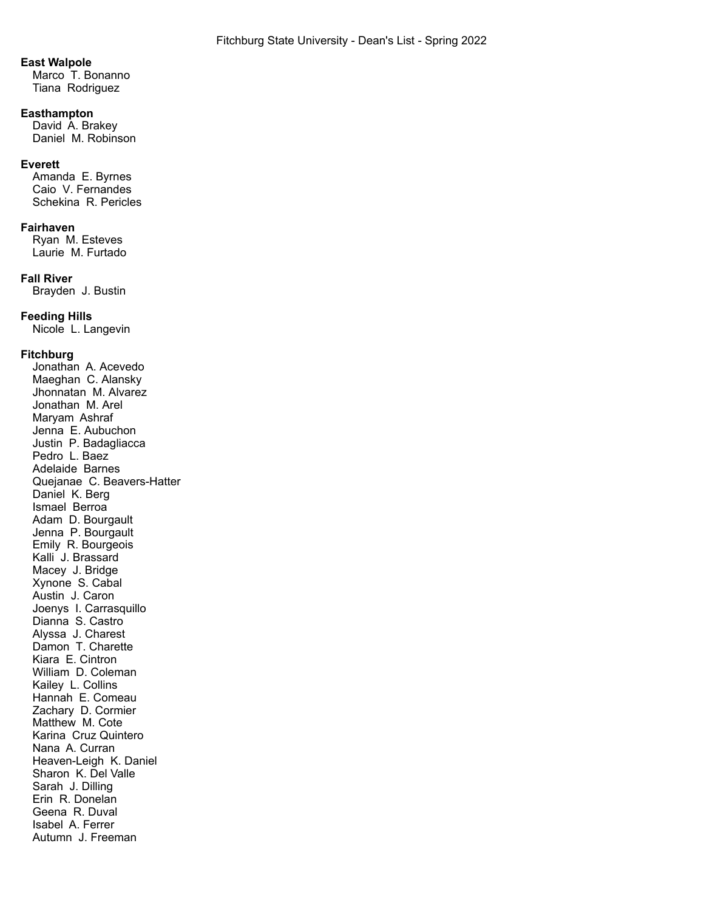### **East Walpole**

Marco T. Bonanno Tiana Rodriguez

## **Easthampton**

David A. Brakey Daniel M. Robinson

### **Everett**

Amanda E. Byrnes Caio V. Fernandes Schekina R. Pericles

### **Fairhaven**

Ryan M. Esteves Laurie M. Furtado

### **Fall River**

Brayden J. Bustin

### **Feeding Hills**

Nicole L. Langevin

### **Fitchburg**

Jonathan A. Acevedo Maeghan C. Alansky Jhonnatan M. Alvarez Jonathan M. Arel Maryam Ashraf Jenna E. Aubuchon Justin P. Badagliacca Pedro L. Baez Adelaide Barnes Quejanae C. Beavers-Hatter Daniel K. Berg Ismael Berroa Adam D. Bourgault Jenna P. Bourgault Emily R. Bourgeois Kalli J. Brassard Macey J. Bridge Xynone S. Cabal Austin J. Caron Joenys I. Carrasquillo Dianna S. Castro Alyssa J. Charest Damon T. Charette Kiara E. Cintron William D. Coleman Kailey L. Collins Hannah E. Comeau Zachary D. Cormier Matthew M. Cote Karina Cruz Quintero Nana A. Curran Heaven-Leigh K. Daniel Sharon K. Del Valle Sarah J. Dilling Erin R. Donelan Geena R. Duval Isabel A. Ferrer Autumn J. Freeman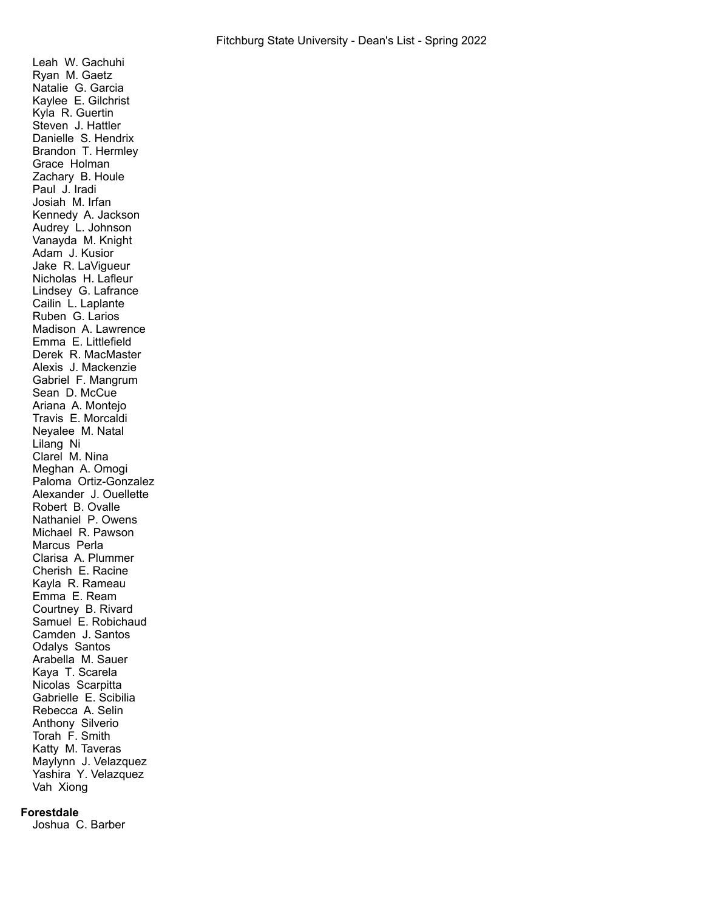Leah W. Gachuhi Ryan M. Gaetz Natalie G. Garcia Kaylee E. Gilchrist Kyla R. Guertin Steven J. Hattler Danielle S. Hendrix Brandon T. Hermley Grace Holman Zachary B. Houle Paul J. Iradi Josiah M. Irfan Kennedy A. Jackson Audrey L. Johnson Vanayda M. Knight Adam J. Kusior Jake R. LaVigueur Nicholas H. Lafleur Lindsey G. Lafrance Cailin L. Laplante Ruben G. Larios Madison A. Lawrence Emma E. Littlefield Derek R. MacMaster Alexis J. Mackenzie Gabriel F. Mangrum Sean D. McCue Ariana A. Montejo Travis E. Morcaldi Neyalee M. Natal Lilang Ni Clarel M. Nina Meghan A. Omogi Paloma Ortiz-Gonzalez Alexander J. Ouellette Robert B. Ovalle Nathaniel P. Owens Michael R. Pawson Marcus Perla Clarisa A. Plummer Cherish E. Racine Kayla R. Rameau Emma E. Ream Courtney B. Rivard Samuel E. Robichaud Camden J. Santos Odalys Santos Arabella M. Sauer Kaya T. Scarela Nicolas Scarpitta Gabrielle E. Scibilia Rebecca A. Selin Anthony Silverio Torah F. Smith Katty M. Taveras Maylynn J. Velazquez Yashira Y. Velazquez Vah Xiong

#### **Forestdale**

Joshua C. Barber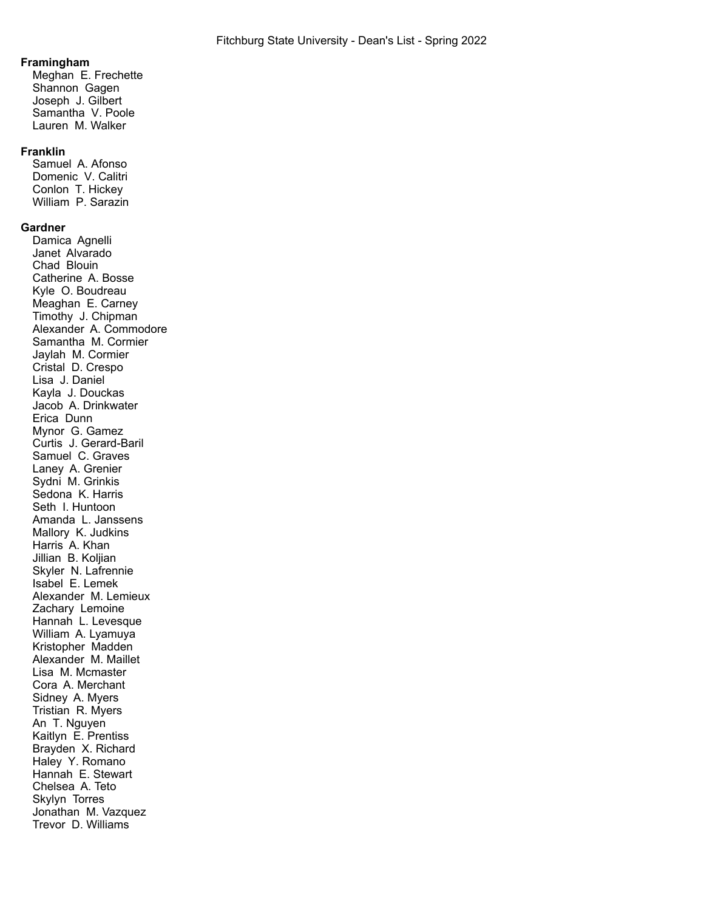#### **Framingham**

Meghan E. Frechette Shannon Gagen Joseph J. Gilbert Samantha V. Poole Lauren M. Walker

### **Franklin**

Samuel A. Afonso Domenic V. Calitri Conlon T. Hickey William P. Sarazin

### **Gardner**

Damica Agnelli Janet Alvarado Chad Blouin Catherine A. Bosse Kyle O. Boudreau Meaghan E. Carney Timothy J. Chipman Alexander A. Commodore Samantha M. Cormier Jaylah M. Cormier Cristal D. Crespo Lisa J. Daniel Kayla J. Douckas Jacob A. Drinkwater Erica Dunn Mynor G. Gamez Curtis J. Gerard-Baril Samuel C. Graves Laney A. Grenier Sydni M. Grinkis Sedona K. Harris Seth I. Huntoon Amanda L. Janssens Mallory K. Judkins Harris A. Khan Jillian B. Koljian Skyler N. Lafrennie Isabel E. Lemek Alexander M. Lemieux Zachary Lemoine Hannah L. Levesque William A. Lyamuya Kristopher Madden Alexander M. Maillet Lisa M. Mcmaster Cora A. Merchant Sidney A. Myers Tristian R. Myers An T. Nauven Kaitlyn E. Prentiss Brayden X. Richard Haley Y. Romano Hannah E. Stewart Chelsea A. Teto Skylyn Torres Jonathan M. Vazquez Trevor D. Williams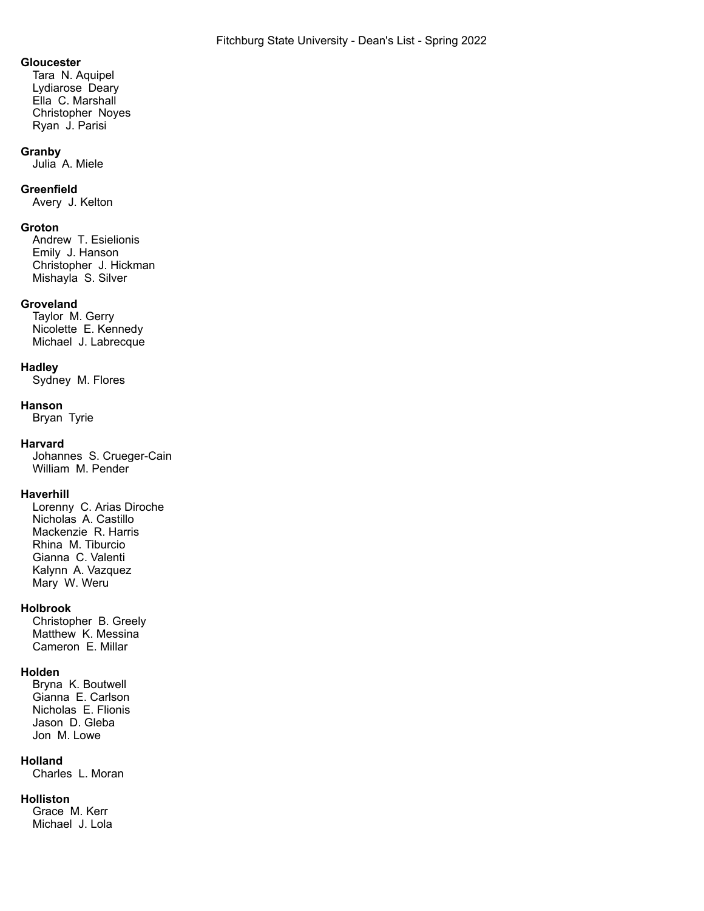#### **Gloucester**

Tara N. Aquipel Lydiarose Deary Ella C. Marshall Christopher Noyes Ryan J. Parisi

#### **Granby**

Julia A. Miele

### **Greenfield**

Avery J. Kelton

### **Groton**

Andrew T. Esielionis Emily J. Hanson Christopher J. Hickman Mishayla S. Silver

#### **Groveland**

Taylor M. Gerry Nicolette E. Kennedy Michael J. Labrecque

#### **Hadley**

Sydney M. Flores

### **Hanson**

Bryan Tyrie

### **Harvard**

Johannes S. Crueger-Cain William M. Pender

## **Haverhill**

Lorenny C. Arias Diroche Nicholas A. Castillo Mackenzie R. Harris Rhina M. Tiburcio Gianna C. Valenti Kalynn A. Vazquez Mary W. Weru

### **Holbrook**

Christopher B. Greely Matthew K. Messina Cameron E. Millar

## **Holden**

Bryna K. Boutwell Gianna E. Carlson Nicholas E. Flionis Jason D. Gleba Jon M. Lowe

## **Holland**

Charles L. Moran

#### **Holliston**

Grace M. Kerr Michael J. Lola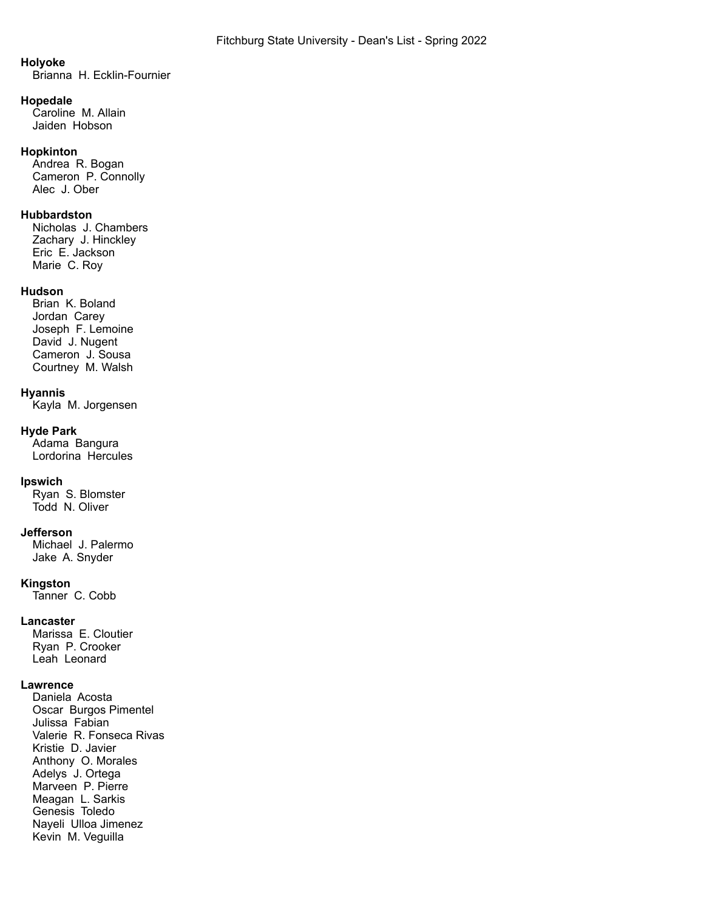## **Holyoke**

Brianna H. Ecklin-Fournier

#### **Hopedale**

Caroline M. Allain Jaiden Hobson

### **Hopkinton**

Andrea R. Bogan Cameron P. Connolly Alec J. Ober

## **Hubbardston**

Nicholas J. Chambers Zachary J. Hinckley Eric E. Jackson Marie C. Roy

### **Hudson**

Brian K. Boland Jordan Carey Joseph F. Lemoine David J. Nugent Cameron J. Sousa Courtney M. Walsh

### **Hyannis**

Kayla M. Jorgensen

### **Hyde Park**

Adama Bangura Lordorina Hercules

### **Ipswich**

Ryan S. Blomster Todd N. Oliver

#### **Jefferson**

Michael J. Palermo Jake A. Snyder

#### **Kingston**

Tanner C. Cobb

### **Lancaster**

Marissa E. Cloutier Ryan P. Crooker Leah Leonard

### **Lawrence**

Daniela Acosta Oscar Burgos Pimentel Julissa Fabian Valerie R. Fonseca Rivas Kristie D. Javier Anthony O. Morales Adelys J. Ortega Marveen P. Pierre Meagan L. Sarkis Genesis Toledo Nayeli Ulloa Jimenez Kevin M. Veguilla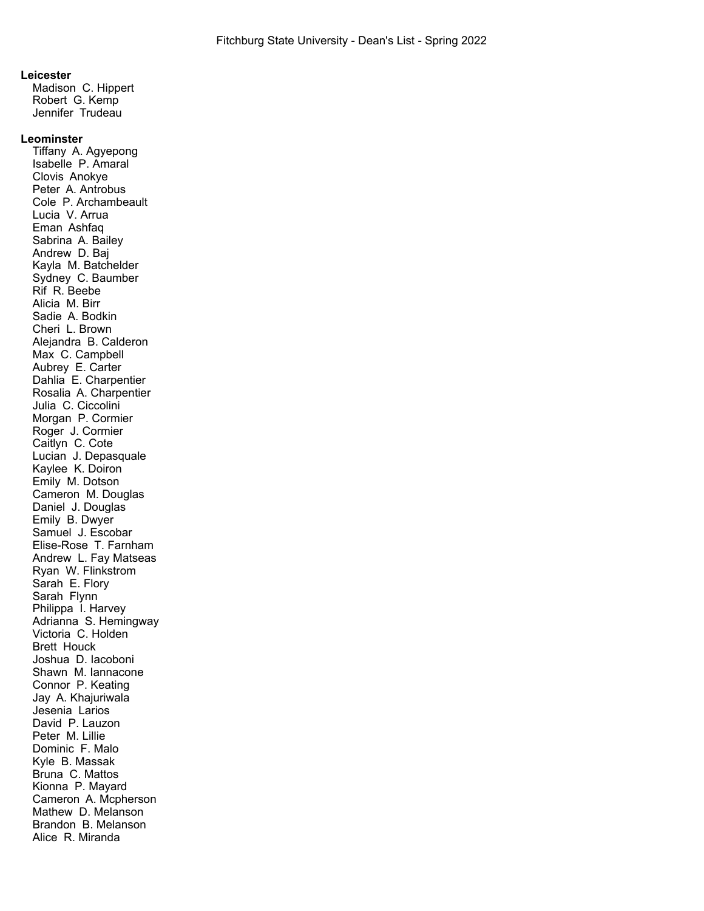#### **Leicester**

Madison C. Hippert Robert G. Kemp Jennifer Trudeau

### **Leominster**

Tiffany A. Agyepong Isabelle P. Amaral Clovis Anokye Peter A. Antrobus Cole P. Archambeault Lucia V. Arrua Eman Ashfaq Sabrina A. Bailey Andrew D. Baj Kayla M. Batchelder Sydney C. Baumber Rif R. Beebe Alicia M. Birr Sadie A. Bodkin Cheri L. Brown Alejandra B. Calderon Max C. Campbell Aubrey E. Carter Dahlia E. Charpentier Rosalia A. Charpentier Julia C. Ciccolini Morgan P. Cormier Roger J. Cormier Caitlyn C. Cote Lucian J. Depasquale Kaylee K. Doiron Emily M. Dotson Cameron M. Douglas Daniel J. Douglas Emily B. Dwyer Samuel J. Escobar Elise-Rose T. Farnham Andrew L. Fay Matseas Ryan W. Flinkstrom Sarah E. Flory Sarah Flynn Philippa I. Harvey Adrianna S. Hemingway Victoria C. Holden Brett Houck Joshua D. Iacoboni Shawn M. Iannacone Connor P. Keating Jay A. Khajuriwala Jesenia Larios David P. Lauzon Peter M. Lillie Dominic F. Malo Kyle B. Massak Bruna C. Mattos Kionna P. Mayard Cameron A. Mcpherson Mathew D. Melanson Brandon B. Melanson Alice R. Miranda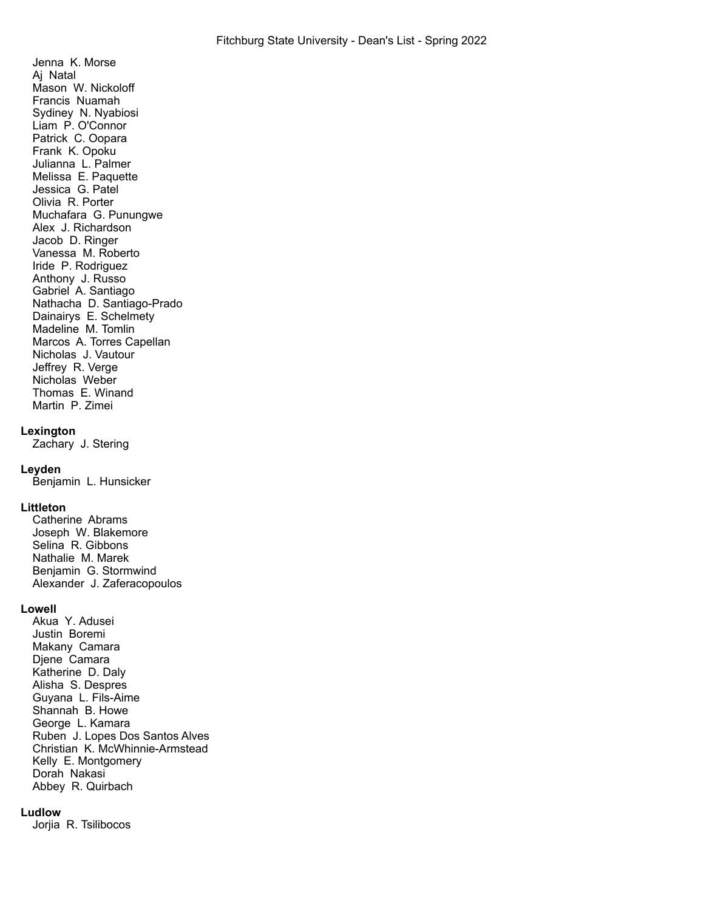Jenna K. Morse Aj Natal Mason W. Nickoloff Francis Nuamah Sydiney N. Nyabiosi Liam P. O'Connor Patrick C. Oopara Frank K. Opoku Julianna L. Palmer Melissa E. Paquette Jessica G. Patel Olivia R. Porter Muchafara G. Punungwe Alex J. Richardson Jacob D. Ringer Vanessa M. Roberto Iride P. Rodriguez Anthony J. Russo Gabriel A. Santiago Nathacha D. Santiago-Prado Dainairys E. Schelmety Madeline M. Tomlin Marcos A. Torres Capellan Nicholas J. Vautour Jeffrey R. Verge Nicholas Weber Thomas E. Winand Martin P. Zimei

## **Lexington**

Zachary J. Stering

## **Leyden**

Benjamin L. Hunsicker

### **Littleton**

Catherine Abrams Joseph W. Blakemore Selina R. Gibbons Nathalie M. Marek Benjamin G. Stormwind Alexander J. Zaferacopoulos

## **Lowell**

Akua Y. Adusei Justin Boremi Makany Camara Djene Camara Katherine D. Daly Alisha S. Despres Guyana L. Fils-Aime Shannah B. Howe George L. Kamara Ruben J. Lopes Dos Santos Alves Christian K. McWhinnie-Armstead Kelly E. Montgomery Dorah Nakasi Abbey R. Quirbach

### **Ludlow**

Jorjia R. Tsilibocos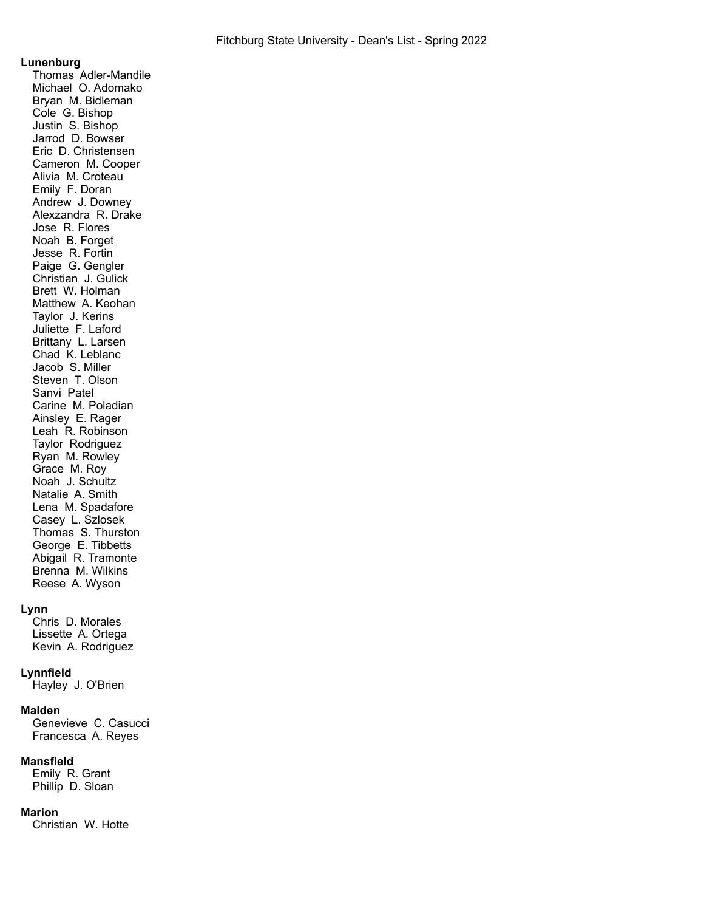### **Lunenburg**

Thomas Adler-Mandile Michael O. Adomako Bryan M. Bidleman Cole G. Bishop Justin S. Bishop Jarrod D. Bowser Eric D. Christensen Cameron M. Cooper Alivia M. Croteau Emily F. Doran Andrew J. Downey Alexzandra R. Drake Jose R. Flores Noah B. Forget Jesse R. Fortin Paige G. Gengler Christian J. Gulick Brett W. Holman Matthew A. Keohan Taylor J. Kerins Juliette F. Laford Brittany L. Larsen Chad K. Leblanc Jacob S. Miller Steven T. Olson Sanvi Patel Carine M. Poladian Ainsley E. Rager Leah R. Robinson Taylor Rodriguez Ryan M. Rowley Grace M. Roy Noah J. Schultz Natalie A. Smith Lena M. Spadafore Casey L. Szlosek Thomas S. Thurston George E. Tibbetts Abigail R. Tramonte Brenna M. Wilkins Reese A. Wyson

## **Lynn**

Chris D. Morales Lissette A. Ortega Kevin A. Rodriguez

## **Lynnfield**

Hayley J. O'Brien

### **Malden**

Genevieve C. Casucci Francesca A. Reyes

### **Mansfield**

Emily R. Grant Phillip D. Sloan

#### **Marion**

Christian W. Hotte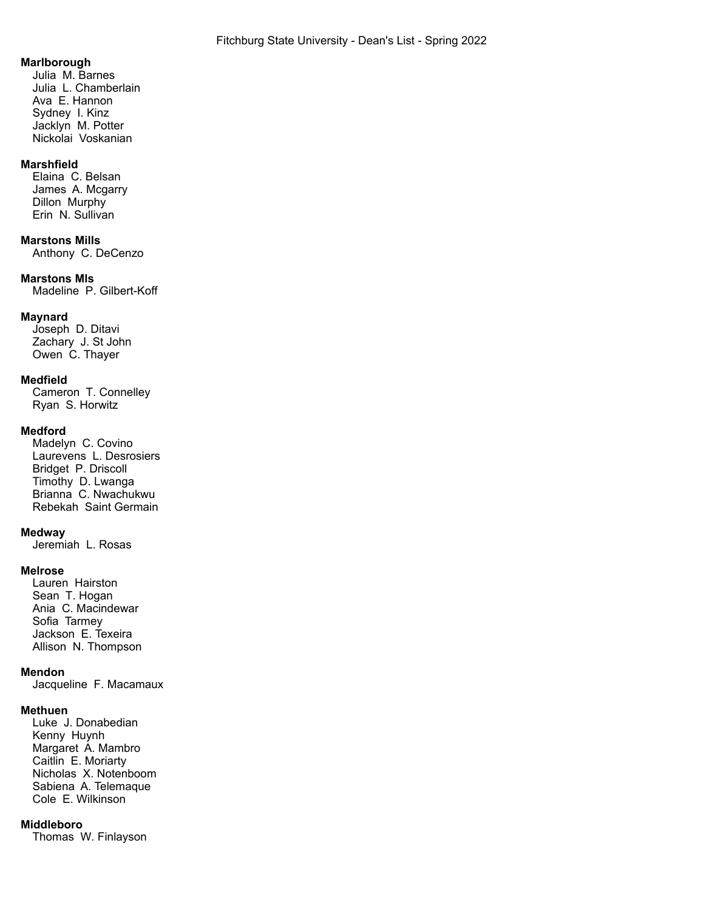### **Marlborough**

Julia M. Barnes Julia L. Chamberlain Ava E. Hannon Sydney I. Kinz Jacklyn M. Potter Nickolai Voskanian

## **Marshfield**

Elaina C. Belsan James A. Mcgarry Dillon Murphy Erin N. Sullivan

## **Marstons Mills**

Anthony C. DeCenzo

#### **Marstons Mls**

Madeline P. Gilbert-Koff

### **Maynard**

Joseph D. Ditavi Zachary J. St John Owen C. Thayer

### **Medfield**

Cameron T. Connelley Ryan S. Horwitz

#### **Medford**

Madelyn C. Covino Laurevens L. Desrosiers Bridget P. Driscoll Timothy D. Lwanga Brianna C. Nwachukwu Rebekah Saint Germain

## **Medway**

Jeremiah L. Rosas

### **Melrose**

Lauren Hairston Sean T. Hogan Ania C. Macindewar Sofia Tarmey Jackson E. Texeira Allison N. Thompson

## **Mendon**

Jacqueline F. Macamaux

#### **Methuen**

Luke J. Donabedian Kenny Huynh Margaret A. Mambro Caitlin E. Moriarty Nicholas X. Notenboom Sabiena A. Telemaque Cole E. Wilkinson

#### **Middleboro**

Thomas W. Finlayson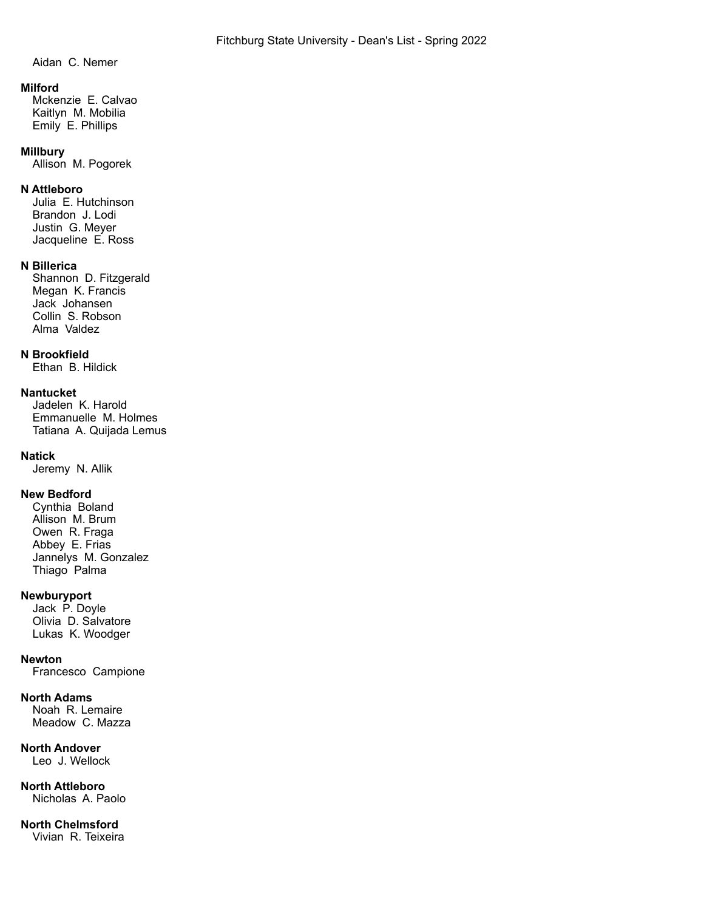Aidan C. Nemer

## **Milford**

Mckenzie E. Calvao Kaitlyn M. Mobilia Emily E. Phillips

### **Millbury**

Allison M. Pogorek

## **N Attleboro**

Julia E. Hutchinson Brandon J. Lodi Justin G. Meyer Jacqueline E. Ross

## **N Billerica**

Shannon D. Fitzgerald Megan K. Francis Jack Johansen Collin S. Robson Alma Valdez

## **N Brookfield**

Ethan B. Hildick

## **Nantucket**

Jadelen K. Harold Emmanuelle M. Holmes Tatiana A. Quijada Lemus

## **Natick**

Jeremy N. Allik

## **New Bedford**

Cynthia Boland Allison M. Brum Owen R. Fraga Abbey E. Frias Jannelys M. Gonzalez Thiago Palma

## **Newburyport**

Jack P. Doyle Olivia D. Salvatore Lukas K. Woodger

## **Newton**

Francesco Campione

## **North Adams**

Noah R. Lemaire Meadow C. Mazza

# **North Andover**

Leo J. Wellock

#### **North Attleboro** Nicholas A. Paolo

**North Chelmsford** Vivian R. Teixeira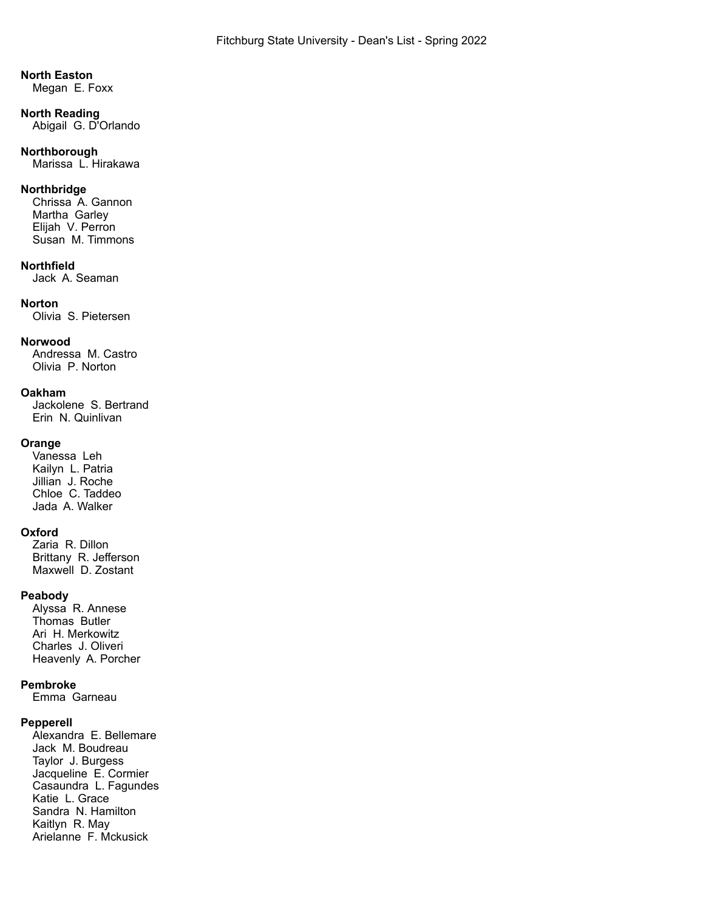### **North Easton**

Megan E. Foxx

#### **North Reading** Abigail G. D'Orlando

## **Northborough**

Marissa L. Hirakawa

### **Northbridge**

Chrissa A. Gannon Martha Garley Elijah V. Perron Susan M. Timmons

### **Northfield**

Jack A. Seaman

## **Norton**

Olivia S. Pietersen

## **Norwood**

Andressa M. Castro Olivia P. Norton

### **Oakham**

Jackolene S. Bertrand Erin N. Quinlivan

## **Orange**

Vanessa Leh Kailyn L. Patria Jillian J. Roche Chloe C. Taddeo Jada A. Walker

## **Oxford**

Zaria R. Dillon Brittany R. Jefferson Maxwell D. Zostant

## **Peabody**

Alyssa R. Annese Thomas Butler Ari H. Merkowitz Charles J. Oliveri Heavenly A. Porcher

### **Pembroke**

Emma Garneau

## **Pepperell**

Alexandra E. Bellemare Jack M. Boudreau Taylor J. Burgess Jacqueline E. Cormier Casaundra L. Fagundes Katie L. Grace Sandra N. Hamilton Kaitlyn R. May Arielanne F. Mckusick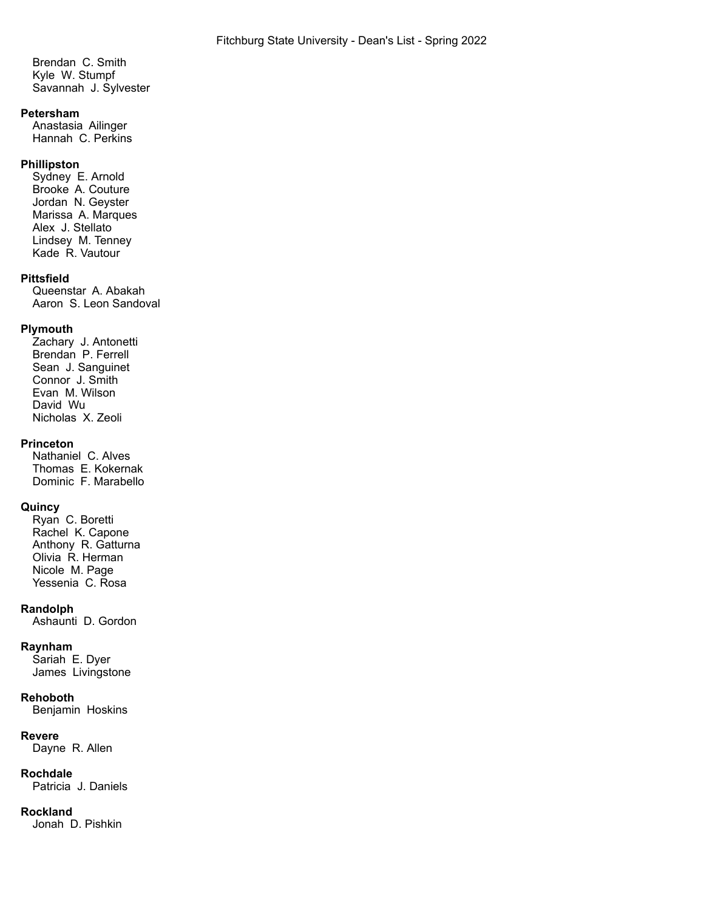Brendan C. Smith Kyle W. Stumpf Savannah J. Sylvester

### **Petersham**

Anastasia Ailinger Hannah C. Perkins

## **Phillipston**

Sydney E. Arnold Brooke A. Couture Jordan N. Geyster Marissa A. Marques Alex J. Stellato Lindsey M. Tenney Kade R. Vautour

### **Pittsfield**

Queenstar A. Abakah Aaron S. Leon Sandoval

## **Plymouth**

Zachary J. Antonetti Brendan P. Ferrell Sean J. Sanguinet Connor J. Smith Evan M. Wilson David Wu Nicholas X. Zeoli

## **Princeton**

Nathaniel C. Alves Thomas E. Kokernak Dominic F. Marabello

### **Quincy**

Ryan C. Boretti Rachel K. Capone Anthony R. Gatturna Olivia R. Herman Nicole M. Page Yessenia C. Rosa

### **Randolph**

Ashaunti D. Gordon

### **Raynham**

Sariah E. Dyer James Livingstone

#### **Rehoboth**

Benjamin Hoskins

### **Revere**

Dayne R. Allen

### **Rochdale**

Patricia J. Daniels

## **Rockland**

Jonah D. Pishkin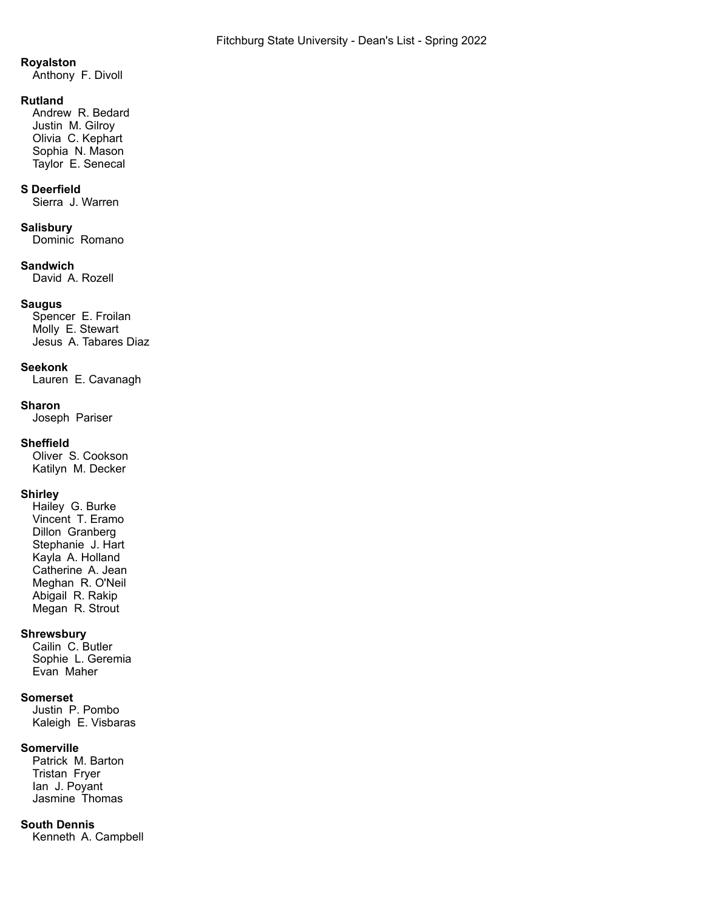### **Royalston**

Anthony F. Divoll

### **Rutland**

Andrew R. Bedard Justin M. Gilroy Olivia C. Kephart Sophia N. Mason Taylor E. Senecal

## **S Deerfield**

Sierra J. Warren

### **Salisbury**

Dominic Romano

## **Sandwich**

David A. Rozell

## **Saugus**

Spencer E. Froilan Molly E. Stewart Jesus A. Tabares Diaz

### **Seekonk**

Lauren E. Cavanagh

### **Sharon**

Joseph Pariser

### **Sheffield**

Oliver S. Cookson Katilyn M. Decker

## **Shirley**

Hailey G. Burke Vincent T. Eramo Dillon Granberg Stephanie J. Hart Kayla A. Holland Catherine A. Jean Meghan R. O'Neil Abigail R. Rakip Megan R. Strout

## **Shrewsbury**

Cailin C. Butler Sophie L. Geremia Evan Maher

### **Somerset**

Justin P. Pombo Kaleigh E. Visbaras

## **Somerville**

Patrick M. Barton Tristan Fryer Ian J. Poyant Jasmine Thomas

## **South Dennis**

Kenneth A. Campbell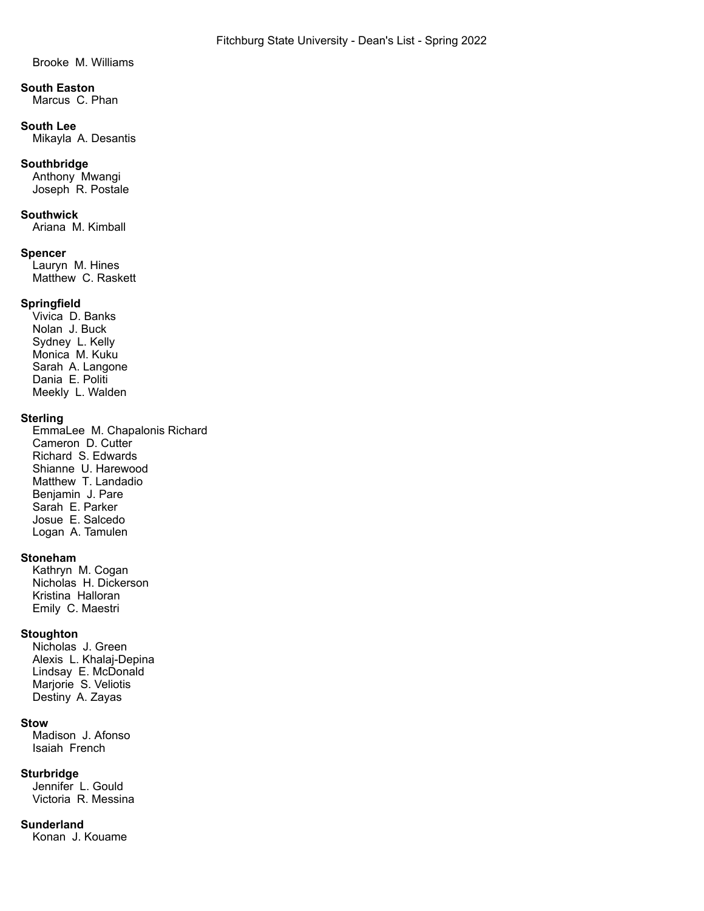Brooke M. Williams

# **South Easton**

Marcus C. Phan

## **South Lee**

Mikayla A. Desantis

## **Southbridge**

Anthony Mwangi Joseph R. Postale

## **Southwick**

Ariana M. Kimball

## **Spencer**

Lauryn M. Hines Matthew C. Raskett

## **Springfield**

Vivica D. Banks Nolan J. Buck Sydney L. Kelly Monica M. Kuku Sarah A. Langone Dania E. Politi Meekly L. Walden

## **Sterling**

EmmaLee M. Chapalonis Richard Cameron D. Cutter Richard S. Edwards Shianne U. Harewood Matthew T. Landadio Benjamin J. Pare Sarah E. Parker Josue E. Salcedo Logan A. Tamulen

## **Stoneham**

Kathryn M. Cogan Nicholas H. Dickerson Kristina Halloran Emily C. Maestri

## **Stoughton**

Nicholas J. Green Alexis L. Khalaj-Depina Lindsay E. McDonald Marjorie S. Veliotis Destiny A. Zayas

## **Stow**

Madison J. Afonso Isaiah French

## **Sturbridge**

Jennifer L. Gould Victoria R. Messina

## **Sunderland**

Konan J. Kouame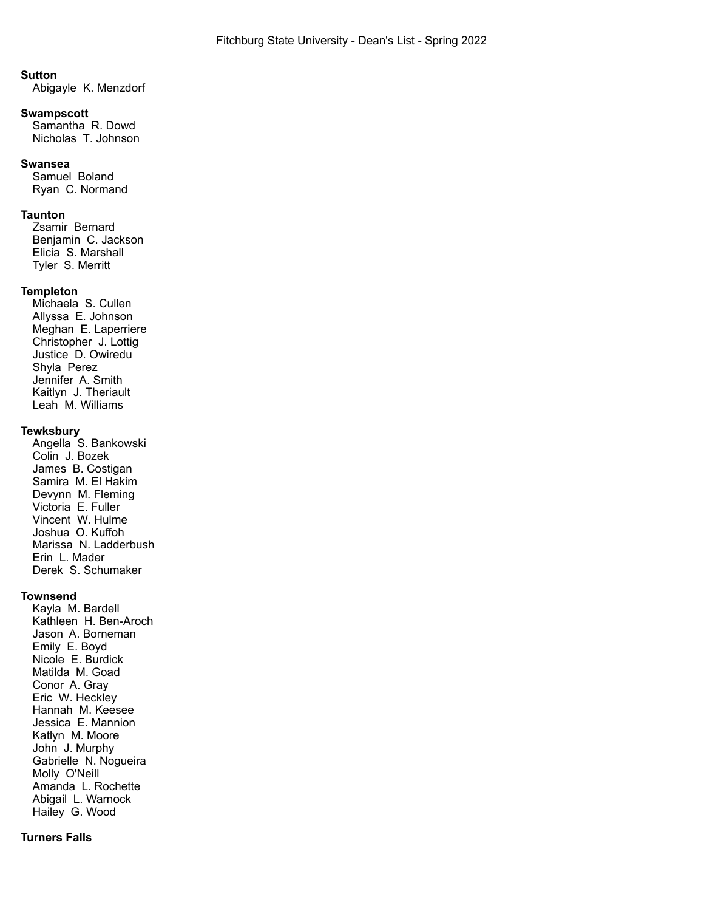### **Sutton**

Abigayle K. Menzdorf

### **Swampscott**

Samantha R. Dowd Nicholas T. Johnson

### **Swansea**

Samuel Boland Ryan C. Normand

### **Taunton**

Zsamir Bernard Benjamin C. Jackson Elicia S. Marshall Tyler S. Merritt

### **Templeton**

Michaela S. Cullen Allyssa E. Johnson Meghan E. Laperriere Christopher J. Lottig Justice D. Owiredu Shyla Perez Jennifer A. Smith Kaitlyn J. Theriault Leah M. Williams

## **Tewksbury**

Angella S. Bankowski Colin J. Bozek James B. Costigan Samira M. El Hakim Devynn M. Fleming Victoria E. Fuller Vincent W. Hulme Joshua O. Kuffoh Marissa N. Ladderbush Erin L. Mader Derek S. Schumaker

### **Townsend**

Kayla M. Bardell Kathleen H. Ben-Aroch Jason A. Borneman Emily E. Boyd Nicole E. Burdick Matilda M. Goad Conor A. Gray Eric W. Heckley Hannah M. Keesee Jessica E. Mannion Katlyn M. Moore John J. Murphy Gabrielle N. Nogueira Molly O'Neill Amanda L. Rochette Abigail L. Warnock Hailey G. Wood

### **Turners Falls**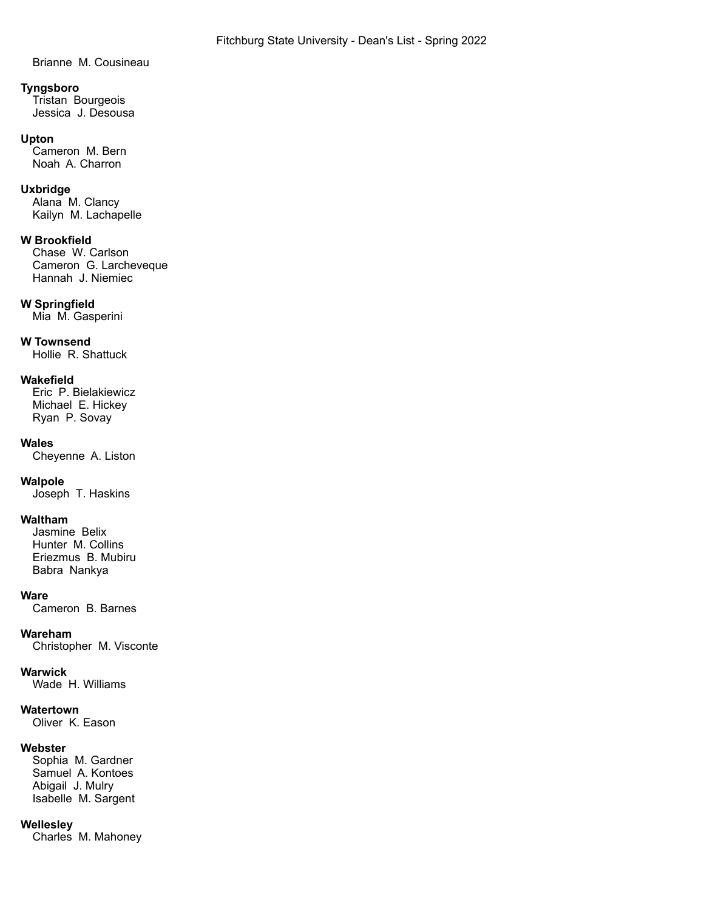Brianne M. Cousineau

### **Tyngsboro**

Tristan Bourgeois Jessica J. Desousa

### **Upton**

Cameron M. Bern Noah A. Charron

## **Uxbridge**

Alana M. Clancy Kailyn M. Lachapelle

## **W Brookfield**

Chase W. Carlson Cameron G. Larcheveque Hannah J. Niemiec

## **W Springfield**

Mia M. Gasperini

## **W Townsend**

Hollie R. Shattuck

## **Wakefield**

Eric P. Bielakiewicz Michael E. Hickey Ryan P. Sovay

## **Wales**

Cheyenne A. Liston

## **Walpole**

Joseph T. Haskins

## **Waltham**

Jasmine Belix Hunter M. Collins Eriezmus B. Mubiru Babra Nankya

## **Ware**

Cameron B. Barnes

## **Wareham**

Christopher M. Visconte

## **Warwick**

Wade H. Williams

## **Watertown**

Oliver K. Eason

## **Webster**

Sophia M. Gardner Samuel A. Kontoes Abigail J. Mulry Isabelle M. Sargent

## **Wellesley**

Charles M. Mahoney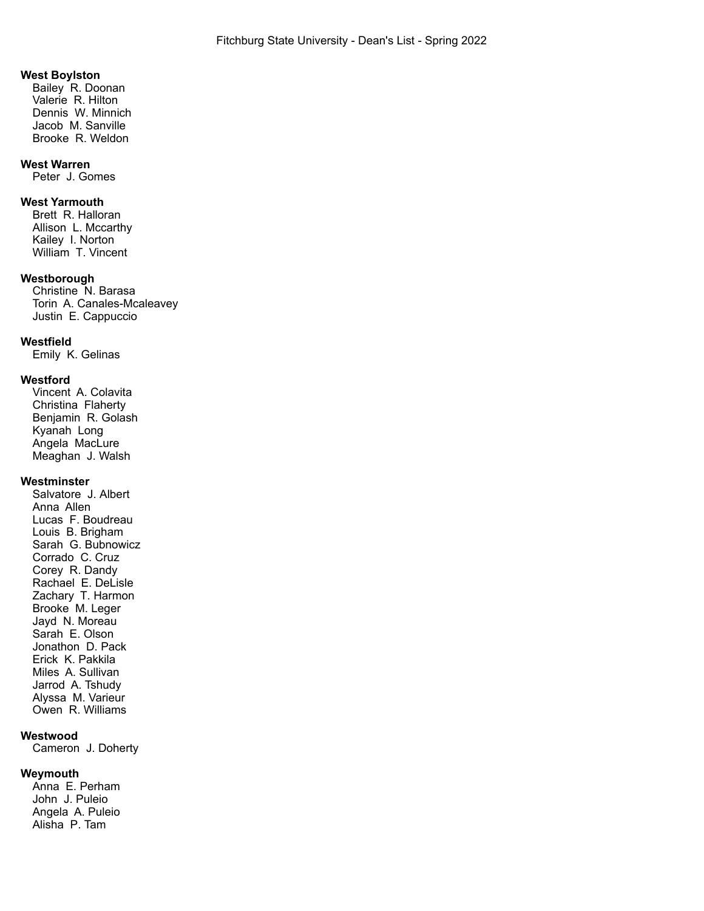### **West Boylston**

Bailey R. Doonan Valerie R. Hilton Dennis W. Minnich Jacob M. Sanville Brooke R. Weldon

### **West Warren**

Peter J. Gomes

## **West Yarmouth**

Brett R. Halloran Allison L. Mccarthy Kailey I. Norton William T. Vincent

### **Westborough**

Christine N. Barasa Torin A. Canales-Mcaleavey Justin E. Cappuccio

### **Westfield**

Emily K. Gelinas

#### **Westford**

Vincent A. Colavita Christina Flaherty Benjamin R. Golash Kyanah Long Angela MacLure Meaghan J. Walsh

## **Westminster**

Salvatore J. Albert Anna Allen Lucas F. Boudreau Louis B. Brigham Sarah G. Bubnowicz Corrado C. Cruz Corey R. Dandy Rachael E. DeLisle Zachary T. Harmon Brooke M. Leger Jayd N. Moreau Sarah E. Olson Jonathon D. Pack Erick K. Pakkila Miles A. Sullivan Jarrod A. Tshudy Alyssa M. Varieur Owen R. Williams

## **Westwood**

Cameron J. Doherty

## **Weymouth**

Anna E. Perham John J. Puleio Angela A. Puleio Alisha P. Tam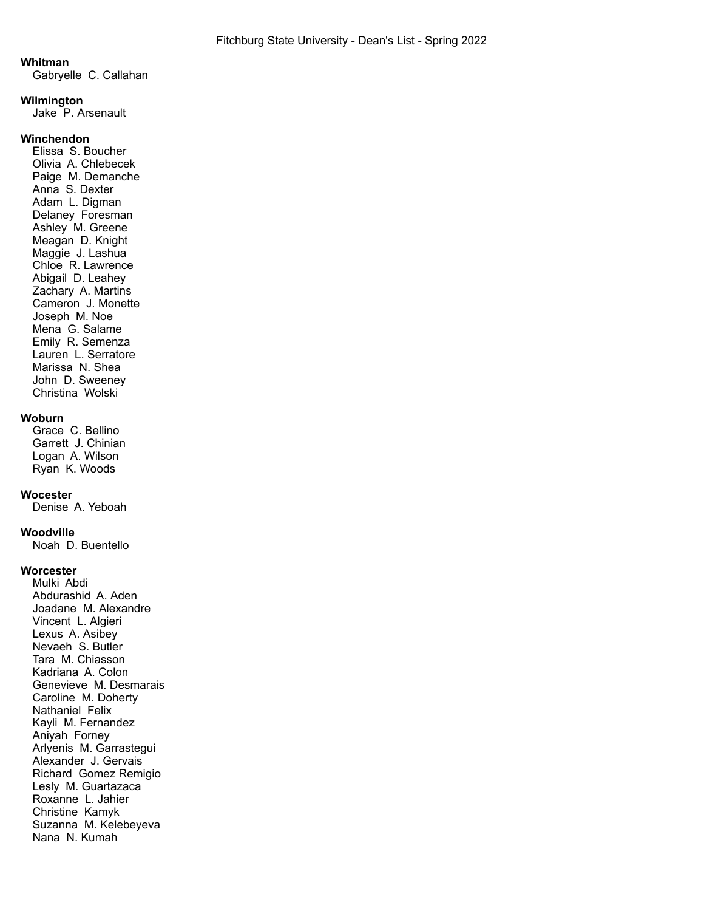### **Whitman**

Gabryelle C. Callahan

### **Wilmington**

Jake P. Arsenault

## **Winchendon**

Elissa S. Boucher Olivia A. Chlebecek Paige M. Demanche Anna S. Dexter Adam L. Digman Delaney Foresman Ashley M. Greene Meagan D. Knight Maggie J. Lashua Chloe R. Lawrence Abigail D. Leahey Zachary A. Martins Cameron J. Monette Joseph M. Noe Mena G. Salame Emily R. Semenza Lauren L. Serratore Marissa N. Shea John D. Sweeney Christina Wolski

## **Woburn**

Grace C. Bellino Garrett J. Chinian Logan A. Wilson Ryan K. Woods

### **Wocester**

Denise A. Yeboah

### **Woodville**

Noah D. Buentello

### **Worcester**

Mulki Abdi Abdurashid A. Aden Joadane M. Alexandre Vincent L. Algieri Lexus A. Asibey Nevaeh S. Butler Tara M. Chiasson Kadriana A. Colon Genevieve M. Desmarais Caroline M. Doherty Nathaniel Felix Kayli M. Fernandez Aniyah Forney Arlyenis M. Garrastegui Alexander J. Gervais Richard Gomez Remigio Lesly M. Guartazaca Roxanne L. Jahier Christine Kamyk Suzanna M. Kelebeyeva Nana N. Kumah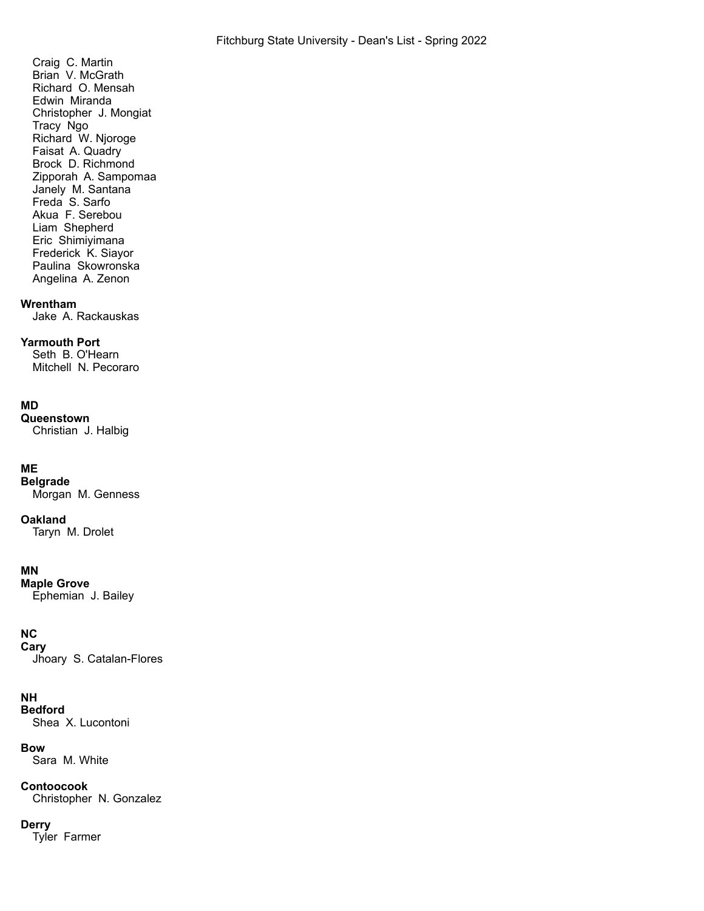Craig C. Martin Brian V. McGrath Richard O. Mensah Edwin Miranda Christopher J. Mongiat Tracy Ngo Richard W. Njoroge Faisat A. Quadry Brock D. Richmond Zipporah A. Sampomaa Janely M. Santana Freda S. Sarfo Akua F. Serebou Liam Shepherd Eric Shimiyimana Frederick K. Siayor Paulina Skowronska Angelina A. Zenon

### **Wrentham**

Jake A. Rackauskas

## **Yarmouth Port**

Seth B. O'Hearn Mitchell N. Pecoraro

## **MD**

**Queenstown** Christian J. Halbig

## **ME**

**Belgrade** Morgan M. Genness

## **Oakland**

Taryn M. Drolet

## **MN**

**Maple Grove** Ephemian J. Bailey

## **NC**

**Cary** Jhoary S. Catalan-Flores

## **NH**

**Bedford** Shea X. Lucontoni

### **Bow**

Sara M. White

## **Contoocook**

Christopher N. Gonzalez

## **Derry**

Tyler Farmer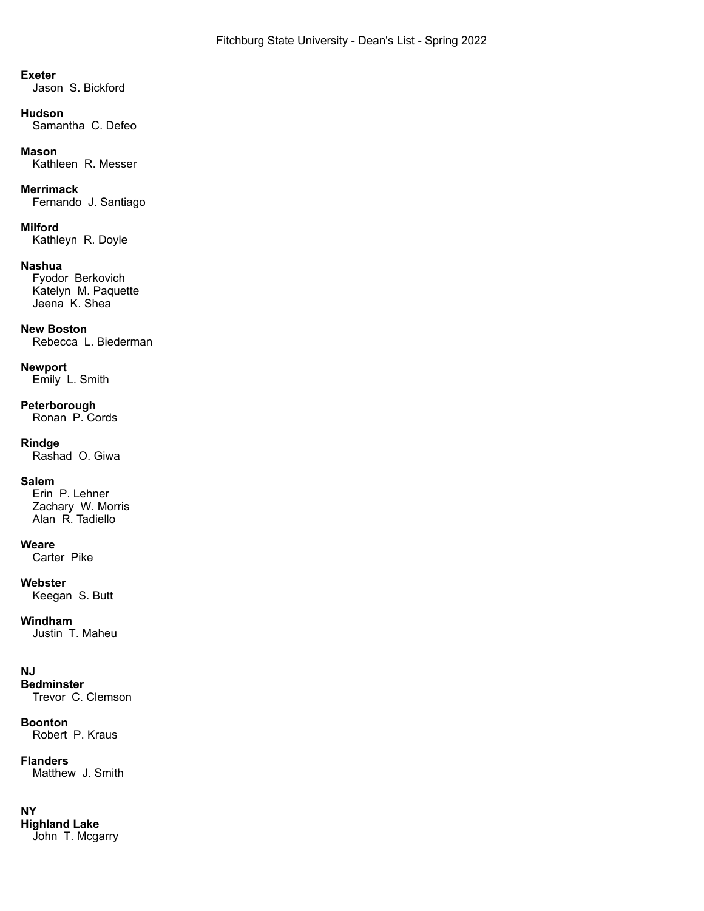## **Exeter**

Jason S. Bickford

### **Hudson**

Samantha C. Defeo

## **Mason**

Kathleen R. Messer

## **Merrimack**

Fernando J. Santiago

## **Milford**

Kathleyn R. Doyle

## **Nashua**

Fyodor Berkovich Katelyn M. Paquette Jeena K. Shea

## **New Boston**

Rebecca L. Biederman

## **Newport**

Emily L. Smith

## **Peterborough**

Ronan P. Cords

## **Rindge**

Rashad O. Giwa

## **Salem**

Erin P. Lehner Zachary W. Morris Alan R. Tadiello

## **Weare**

Carter Pike

## **Webster**

Keegan S. Butt

## **Windham**

Justin T. Maheu

## **NJ**

**Bedminster** Trevor C. Clemson

## **Boonton**

Robert P. Kraus

## **Flanders**

Matthew J. Smith

## **NY**

**Highland Lake** John T. Mcgarry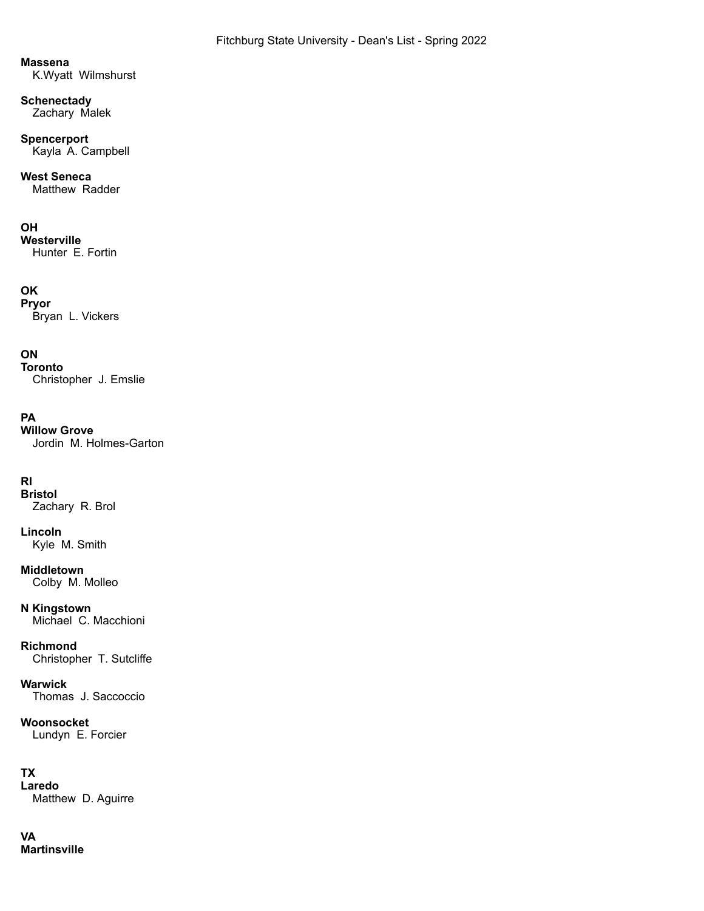## **Massena**

K.Wyatt Wilmshurst

## **Schenectady**

Zachary Malek

# **Spencerport**

Kayla A. Campbell

## **West Seneca**

Matthew Radder

## **OH**

**Westerville** Hunter E. Fortin

## **OK**

**Pryor** Bryan L. Vickers

## **ON**

**Toronto** Christopher J. Emslie

## **PA**

**Willow Grove** Jordin M. Holmes-Garton

# **RI**

**Bristol** Zachary R. Brol

## **Lincoln** Kyle M. Smith

**Middletown** Colby M. Molleo

## **N Kingstown** Michael C. Macchioni

**Richmond** Christopher T. Sutcliffe

**Warwick** Thomas J. Saccoccio

# **Woonsocket**

Lundyn E. Forcier

# **TX**

**Laredo** Matthew D. Aguirre

# **VA**

**Martinsville**